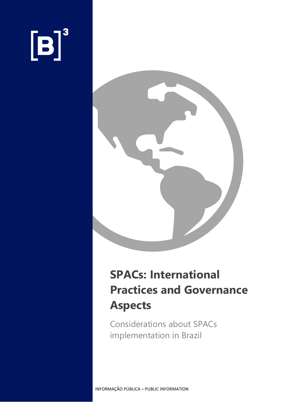# $[B]<sup>3</sup>$



### **SPACs: International Practices and Governance Aspects**

Considerations about SPACs implementation in Brazil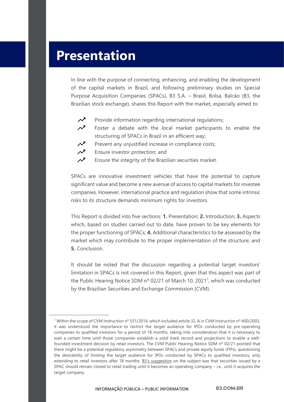#### **Presentation**

In line with the purpose of connecting, enhancing, and enabling the development of the capital markets in Brazil, and following preliminary studies on Special Purpose Acquisition Companies (SPACs), B3 S.A. – Brasil, Bolsa, Balcão (B3, the Brazilian stock exchange), shares this Report with the market, especially aimed to:



- Provide information regarding international regulations;
- $\boldsymbol{\mathcal{N}}$ Foster a debate with the local market participants to enable the structuring of SPACs in Brazil in an efficient way;
- $\boldsymbol{\mathcal{N}}$ Prevent any unjustified increase in compliance costs;
- $\boldsymbol{\mathcal{N}}$ Ensure investor protection; and
- $\boldsymbol{\mathcal{N}}$ Ensure the integrity of the Brazilian securities market.

SPACs are innovative investment vehicles that have the potential to capture significant value and become a new avenue of access to capital markets for investee companies. However, international practice and regulation show that some intrinsic risks to its structure demands minimum rights for investors.

This Report is divided into five sections: **1.** Presentation; **2.** Introduction; **3.** Aspects which, based on studies carried out to date, have proven to be key elements for the proper functioning of SPACs; **4.** Additional characteristics to be assessed by the market which may contribute to the proper implementation of the structure; and **5.** Conclusion.

It should be noted that the discussion regarding a potential target investors' limitation in SPACs is not covered in this Report, given that this aspect was part of the Public Hearing Notice SDM nº 02/21 of March 10, 2021<sup>1</sup>, which was conducted by the Brazilian Securities and Exchange Commission (CVM).

<sup>&</sup>lt;sup>1</sup> Within the scope of CVM Instruction nº 551/2014, which included article 32-A in CVM Instruction nº 400/2003, it was understood the importance to restrict the target audience for IPOs conducted by pre-operating companies to qualified investors for a period of 18 months, taking into consideration that it is necessary to wait a certain time until those companies establish a solid track record and projections to enable a wellfounded investment decision by retail investors. The CVM Public Hearing Notice SDM nº 02/21 pointed that there might be a potential regulatory asymmetry between SPACs and private equity funds (FIPs), questioning the desirability of limiting the target audience for IPOs conducted by SPACs to qualified investors, only extending to retail investors after 18 months. [B3's suggestion](http://conteudo.cvm.gov.br/audiencias_publicas/ap_sdm/2021/sdm0221.html) on the subject was that securities issued by a SPAC should remain closed to retail trading until it becomes an operating company – i.e., until it acquires the target company.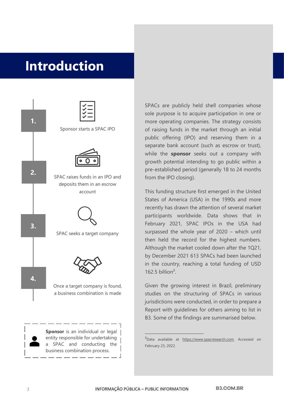### **Introduction**



SPACs are publicly held shell companies whose sole purpose is to acquire participation in one or more operating companies. The strategy consists of raising funds in the market through an initial public offering (IPO) and reserving them in a separate bank account (such as escrow or trust), while the **sponsor** seeks out a company with growth potential intending to go public within a pre-established period (generally 18 to 24 months from the IPO closing).

This funding structure first emerged in the United States of America (USA) in the 1990s and more recently has drawn the attention of several market participants worldwide. Data shows that in February 2021, SPAC IPOs in the USA had surpassed the whole year of 2020 – which until then held the record for the highest numbers. Although the market cooled down after the 1Q21, by December 2021 613 SPACs had been launched in the country, reaching a total funding of USD 162.5 billion $^2$ .

Given the growing interest in Brazil, preliminary studies on the structuring of SPACs in various jurisdictions were conducted, in order to prepare a Report with guidelines for others aiming to list in B3. Some of the findings are summarised below.

\_\_\_\_\_\_\_\_\_\_\_\_\_\_\_\_\_\_\_\_\_\_\_\_\_\_\_

<sup>&</sup>lt;sup>2</sup>Data available at [https://www.spacresearch.com.](https://www.spacresearch.com/) Accessed on February 23, 2022.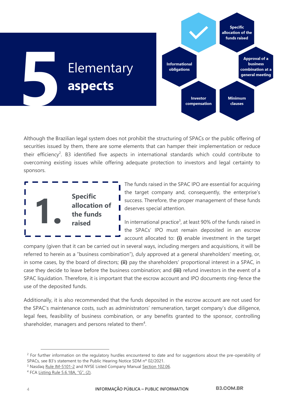

Although the Brazilian legal system does not prohibit the structuring of SPACs or the public offering of securities issued by them, there are some elements that can hamper their implementation or reduce their efficiency<sup>2</sup>. B3 identified five aspects in international standards which could contribute to overcoming existing issues while offering adequate protection to investors and legal certainty to sponsors.



The funds raised in the SPAC IPO are essential for acquiring the target company and, consequently, the enterprise's success. Therefore, the proper management of these funds deserves special attention.

In international practice<sup>3</sup>, at least 90% of the funds raised in the SPACs' IPO must remain deposited in an escrow account allocated to: **(i)** enable investment in the target

company (given that it can be carried out in several ways, including mergers and acquisitions, it will be referred to herein as a "business combination"), duly approved at a general shareholders' meeting, or, in some cases, by the board of directors; **(ii)** pay the shareholders' proportional interest in a SPAC, in case they decide to leave before the business combination; and **(iii)** refund investors in the event of a SPAC liquidation. Therefore, it is important that the escrow account and IPO documents ring-fence the use of the deposited funds.

Additionally, it is also recommended that the funds deposited in the escrow account are not used for the SPAC's maintenance costs, such as administrators' remuneration, target company's due diligence, legal fees, feasibility of business combination, or any benefits granted to the sponsor, controlling shareholder, managers and persons related to them<sup>4</sup>.

<sup>&</sup>lt;sup>2</sup> For further information on the regulatory hurdles encountered to date and for suggestions about the pre-operability of SPACs, see B3's statement to the Public Hearing Notice SDM nº 02/2021.

<sup>&</sup>lt;sup>3</sup> Nasdaq [Rule IM-5101-2](https://listingcenter.nasdaq.com/rulebook/nasdaq/rules/nasdaq-5100-series) and NYSE Listed Company Manua[l Section 102.06.](https://nyse.wolterskluwer.cloud/listed-company-manual/document?treeNodeId=csh-da-filter!WKUS-TAL-DOCS-PHC-%7B0588BF4A-D3B5-4B91-94EA-BE9F17057DF0%7D--WKUS_TAL_5667%23teid-10%5d)

<sup>4</sup> FCA [Listing Rule 5.6.18A, "G", \(2\)](https://www.handbook.fca.org.uk/handbook/LR/5/6.html).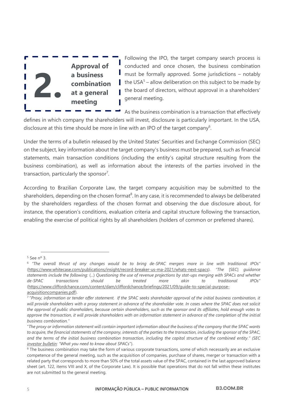

Following the IPO, the target company search process is conducted and once chosen, the business combination must be formally approved. Some jurisdictions – notably the USA $5$  – allow deliberation on this subject to be made by the board of directors, without approval in a shareholders' general meeting.

As the business combination is a transaction that effectively

defines in which company the shareholders will invest, disclosure is particularly important. In the USA, disclosure at this time should be more in line with an IPO of the target company<sup>6</sup>.

Under the terms of a bulletin released by the United States' Securities and Exchange Commission (SEC) on the subject, key information about the target company's business must be prepared, such as financial statements, main transaction conditions (including the entity's capital structure resulting from the business combination), as well as information about the interests of the parties involved in the transaction, particularly the sponsor<sup>7</sup>.

According to Brazilian Corporate Law, the target company acquisition may be submitted to the shareholders, depending on the chosen format<sup>8</sup>. In any case, it is recommended to always be deliberated by the shareholders regardless of the chosen format and observing the due disclosure about, for instance, the operation's conditions, evaluation criteria and capital structure following the transaction, enabling the exercise of political rights by all shareholders (holders of common or preferred shares).

 $5$  See n° 3.

<sup>6</sup> *"The overall thrust of any changes would be to bring de-SPAC mergers more in line with traditional IPOs"* [\(https://www.whitecase.com/publications/insight/record-breaker-us-ma-2021/whats-next-spacs\)](https://www.whitecase.com/publications/insight/record-breaker-us-ma-2021/whats-next-spacs). *"The* [SEC] *guidance statements include the following:* (...) *Questioning the use of revenue projections by stat-ups merging with SPACs and whether de-SPAC transactions should be treated more akin to traditional IPOs"* [\(https://www.cliffordchance.com/content/dam/cliffordchance/briefings/2021/09/guide-to-special-purpose](https://www.cliffordchance.com/content/dam/cliffordchance/briefings/2021/09/guide-to-special-purpose-acquisitioncompanies.pdf)[acquisitioncompanies.pdf\)](https://www.cliffordchance.com/content/dam/cliffordchance/briefings/2021/09/guide-to-special-purpose-acquisitioncompanies.pdf).

<sup>7</sup> "*Proxy, information or tender offer statement. If the SPAC seeks shareholder approval of the initial business combination, it will provide shareholders with a proxy statement in advance of the shareholder vote. In cases where the SPAC does not solicit the approval of public shareholders, because certain shareholders, such as the sponsor and its affiliates, hold enough votes to approve the transaction, it will provide shareholders with an information statement in advance of the completion of the initial business combination."*

<sup>&</sup>quot;*The proxy or information statement will contain important information about the business of the company that the SPAC wants to acquire, the financial statements of the company, interests of the parties to the transaction, including the sponsor of the SPAC, and the terms of the initial business combination transaction, including the capital structure of the combined entity." (SEC [investor](https://www.sec.gov/oiea/investor-alerts-and-bulletins/what-you-need-know-about-spacs-investor-bulletin) bulletin: "What you need to know about SPACs*").

<sup>&</sup>lt;sup>8</sup> The business combination may take the form of various corporate transactions, some of which necessarily are an exclusive competence of the general meeting, such as the acquisition of companies, purchase of shares, merger or transaction with a related party that corresponds to more than 50% of the total assets value of the SPAC, contained in the last approved balance sheet (art. 122, items VIII and X, of the Corporate Law). It is possible that operations that do not fall within these institutes are not submitted to the general meeting.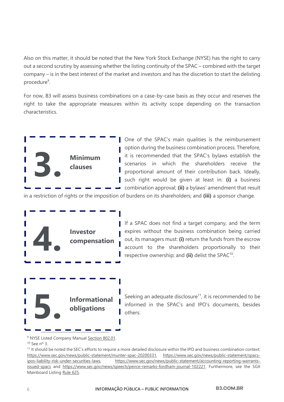Also on this matter, it should be noted that the New York Stock Exchange (NYSE) has the right to carry out a second scrutiny by assessing whether the listing continuity of the SPAC – combined with the target company – is in the best interest of the market and investors and has the discretion to start the delisting procedure<sup>9</sup>.

For now, B3 will assess business combinations on a case-by-case basis as they occur and reserves the right to take the appropriate measures within its activity scope depending on the transaction characteristics.



One of the SPAC's main qualities is the reimbursement option during the business combination process. Therefore, it is recommended that the SPAC's bylaws establish the scenarios in which the shareholders receive the proportional amount of their contribution back. Ideally, such right would be given at least in: **(i)** a business combination approval; **(ii)** a bylaws' amendment that result

in a restriction of rights or the imposition of burdens on its shareholders; and **(iii)** a sponsor change.



If a SPAC does not find a target company, and the term expires without the business combination being carried out, its managers must: **(i)** return the funds from the escrow account to the shareholders proportionally to their respective ownership; and (ii) delist the SPAC<sup>10</sup>.

Seeking an adequate disclosure<sup>11</sup>, it is recommended to be informed in the SPAC's and IPO's documents, besides others:

<sup>9</sup> NYSE Listed Company Manual [Section 802.01.](https://nyse.wolterskluwer.cloud/listed-company-manual/document?treeNodeId=csh-da-filter!WKUS-TAL-DOCS-PHC-%7B0588BF4A-D3B5-4B91-94EA-BE9F17057DF0%7D--WKUS_TAL_5667%23teid-167)

<sup>10</sup> See nº 3.

<sup>11</sup> It should be noted the SEC's efforts to require a more detailed disclosure within the IPO and business combination context: [https://www.sec.gov/news/public-statement/munter-spac-20200331,](https://www.sec.gov/news/public-statement/munter-spac-20200331) [https://www.sec.gov/news/public-statement/spacs](https://www.sec.gov/news/public-statement/spacs-ipos-liability-risk-under-securities-laws)[ipos-liability-risk-under-securities-laws,](https://www.sec.gov/news/public-statement/spacs-ipos-liability-risk-under-securities-laws) [https://www.sec.gov/news/public-statement/accounting-reporting-warrants](https://www.sec.gov/news/public-statement/accounting-reporting-warrants-issued-spacs)[issued-spacs](https://www.sec.gov/news/public-statement/accounting-reporting-warrants-issued-spacs) and [https://www.sec.gov/news/speech/peirce-remarks-fordham-journal-102221.](https://www.sec.gov/news/speech/peirce-remarks-fordham-journal-102221) Furthermore, see the SGX Mainboard Listing [Rule 625.](http://rulebook.sgx.com/rulebook/625-0)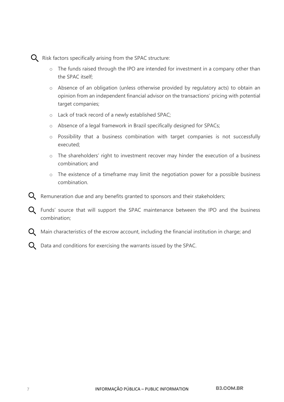

- o The funds raised through the IPO are intended for investment in a company other than the SPAC itself;
- o Absence of an obligation (unless otherwise provided by regulatory acts) to obtain an opinion from an independent financial advisor on the transactions' pricing with potential target companies;
- o Lack of track record of a newly established SPAC;
- o Absence of a legal framework in Brazil specifically designed for SPACs;
- o Possibility that a business combination with target companies is not successfully executed;
- o The shareholders' right to investment recover may hinder the execution of a business combination; and
- o The existence of a timeframe may limit the negotiation power for a possible business combination.
- $\mathsf Q$  Remuneration due and any benefits granted to sponsors and their stakeholders;
- Q Funds' source that will support the SPAC maintenance between the IPO and the business combination;
- $\mathbf Q$  Main characteristics of the escrow account, including the financial institution in charge; and
- $\Omega$  Data and conditions for exercising the warrants issued by the SPAC.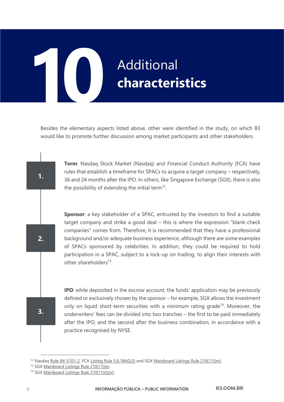## **Additional characteristics 1 3. 0**

Besides the elementary aspects listed above, other were identified in the study, on which B3 would like to promote further discussion among market participants and other stakeholders.

> **Term**: Nasdaq Stock Market (Nasdaq) and Financial Conduct Authority (FCA) have rules that establish a timeframe for SPACs to acquire a target company – respectively, 36 and 24 months after the IPO. In others, like Singapore Exchange (SGX), there is also the possibility of extending the initial term<sup>12</sup>.

> **Sponsor**: a key stakeholder of a SPAC, entrusted by the investors to find a suitable target company and strike a good deal – this is where the expression "blank-check companies" comes from. Therefore, it is recommended that they have a professional background and/or adequate business experience, although there are some examples of SPACs sponsored by celebrities. In addition, they could be required to hold participation in a SPAC, subject to a lock-up on trading, to align their interests with other shareholders<sup>13</sup>.

> **IPO:** while deposited in the escrow account, the funds' application may be previously defined or exclusively chosen by the sponsor – for example, SGX allows the investment only on liquid short-term securities with a minimum rating grade<sup>14</sup>. Moreover, the underwriters' fees can be divided into two tranches – the first to be paid immediately after the IPO, and the second after the business combination, in accordance with a practice recognised by NYSE.

**1.**

**2.**

**3.**

<sup>&</sup>lt;sup>12</sup> Nasdaq [Rule IM-5101-2,](https://listingcenter.nasdaq.com/rulebook/nasdaq/rules/nasdaq-5100-series) FCA [Listing Rule 5.6.18AG\(3\)](https://www.handbook.fca.org.uk/handbook/LR/5/6.html) and SGX [Mainboard Listings Rule 210\(11\)\(m\).](http://rulebook.sgx.com/node/4870/revisions/26282/view)

<sup>13</sup> SGX [Mainboard Listings Rule 210\(11\)\(e\).](http://rulebook.sgx.com/node/4870/revisions/26282/view)

<sup>14</sup> SGX [Mainboard Listings Rule 210\(11\)\(i\)\(iv\).](http://rulebook.sgx.com/node/4870/revisions/26282/view)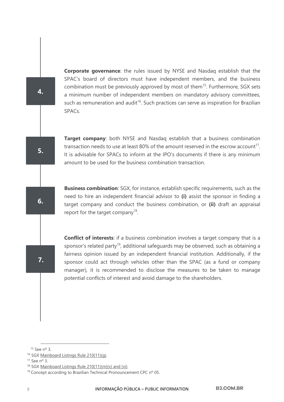**Corporate governance**: the rules issued by NYSE and Nasdaq establish that the SPAC's board of directors must have independent members, and the business combination must be previously approved by most of them<sup>15</sup>. Furthermore, SGX sets a minimum number of independent members on mandatory advisory committees, such as remuneration and audit<sup>16</sup>. Such practices can serve as inspiration for Brazilian SPACs.

**Target company**: both NYSE and Nasdag establish that a business combination transaction needs to use at least 80% of the amount reserved in the escrow account<sup>17</sup>. It is advisable for SPACs to inform at the IPO's documents if there is any minimum amount to be used for the business combination transaction.

**Business combination**: SGX, for instance, establish specific requirements, such as the need to hire an independent financial advisor to **(i)** assist the sponsor in finding a target company and conduct the business combination, or **(ii)** draft an appraisal report for the target company<sup>18</sup>.

**Conflict of interests**: if a business combination involves a target company that is a sponsor's related party<sup>19</sup>, additional safeguards may be observed, such as obtaining a fairness opinion issued by an independent financial institution. Additionally, if the sponsor could act through vehicles other than the SPAC (as a fund or company manager), it is recommended to disclose the measures to be taken to manage potential conflicts of interest and avoid damage to the shareholders.

**4.**

**6.**

**5.**

<sup>15</sup> See nº 3.

<sup>&</sup>lt;sup>16</sup> SGX Mainboard Listings Rule 210(11)(g).

<sup>17</sup> See nº 3.

<sup>18</sup> SG[X Mainboard Listings Rule 210\(11\)\(m\)\(v\)](http://rulebook.sgx.com/node/4870/revisions/26282/view) and (vi).

<sup>&</sup>lt;sup>19</sup> Concept according to Brazilian Technical Pronouncement CPC nº 05.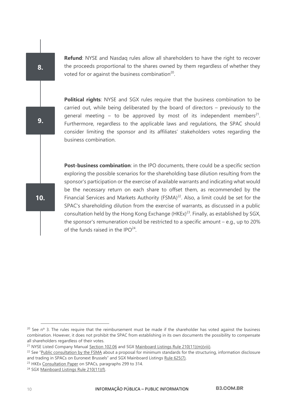**Refund**: NYSE and Nasdaq rules allow all shareholders to have the right to recover the proceeds proportional to the shares owned by them regardless of whether they voted for or against the business combination $20$ .

**Political rights**: NYSE and SGX rules require that the business combination to be carried out, while being deliberated by the board of directors – previously to the general meeting – to be approved by most of its independent members<sup>21</sup>. Furthermore, regardless to the applicable laws and regulations, the SPAC should consider limiting the sponsor and its affiliates' stakeholders votes regarding the business combination.

**Post-business combination**: in the IPO documents, there could be a specific section exploring the possible scenarios for the shareholding base dilution resulting from the sponsor's participation or the exercise of available warrants and indicating what would be the necessary return on each share to offset them, as recommended by the Financial Services and Markets Authority (FSMA) $^{22}$ . Also, a limit could be set for the SPAC's shareholding dilution from the exercise of warrants, as discussed in a public consultation held by the Hong Kong Exchange  $(HKEY)^{23}$ . Finally, as established by SGX, the sponsor's remuneration could be restricted to a specific amount – e.g., up to 20% of the funds raised in the IPO<sup>24</sup>.

**10.**

**8.**

**9.**

 $20$  See n<sup>o</sup> 3. The rules require that the reimbursement must be made if the shareholder has voted against the business combination. However, it does not prohibit the SPAC from establishing in its own documents the possibility to compensate all shareholders regardless of their votes.

<sup>&</sup>lt;sup>21</sup> NYSE Listed Company Manual [Section 102.06](https://nyse.wolterskluwer.cloud/listed-company-manual/document?treeNodeId=csh-da-filter!WKUS-TAL-DOCS-PHC-%7B0588BF4A-D3B5-4B91-94EA-BE9F17057DF0%7D--WKUS_TAL_5667%23teid-10%5d) and SGX [Mainboard Listings Rule 210\(11\)\(m\)\(viii\).](http://rulebook.sgx.com/node/4870/revisions/26282/view)

<sup>&</sup>lt;sup>22</sup> See "[Public consultation by the FSMA](https://www.fsma.be/sites/default/files/media/files/2021-05/20210505_consultation_spac_en.pdf) about a proposal for minimum standards for the structuring, information disclosure and trading in SPACs on Euronext Brussels" and SGX Mainboard Listing[s Rule 625\(7\).](http://rulebook.sgx.com/rulebook/625-0)

<sup>&</sup>lt;sup>23</sup> HKE[x Consultation Paper](https://www.hkex.com.hk/-/media/HKEX-Market/News/Market-Consultations/2016-Present/September-2021-Special-Purpose-Acquisition-Co/Consultation-Paper/cp202109.pdf?la=en) on SPACs, paragraphs 299 to 314.

<sup>&</sup>lt;sup>24</sup> SG[X Mainboard Listings Rule 210\(11\)\(f\).](http://rulebook.sgx.com/node/4870/revisions/26282/view)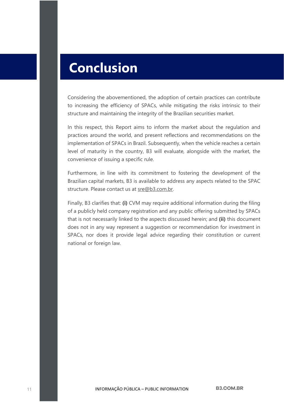#### **Conclusion**

Considering the abovementioned, the adoption of certain practices can contribute to increasing the efficiency of SPACs, while mitigating the risks intrinsic to their structure and maintaining the integrity of the Brazilian securities market.

In this respect, this Report aims to inform the market about the regulation and practices around the world, and present reflections and recommendations on the implementation of SPACs in Brazil. Subsequently, when the vehicle reaches a certain level of maturity in the country, B3 will evaluate, alongside with the market, the convenience of issuing a specific rule.

Furthermore, in line with its commitment to fostering the development of the Brazilian capital markets, B3 is available to address any aspects related to the SPAC structure. Please contact us at [sre@b3.com.br.](mailto:sre@b3.com.br)

Finally, B3 clarifies that: **(i)** CVM may require additional information during the filing of a publicly held company registration and any public offering submitted by SPACs that is not necessarily linked to the aspects discussed herein; and **(ii)** this document does not in any way represent a suggestion or recommendation for investment in SPACs, nor does it provide legal advice regarding their constitution or current national or foreign law.